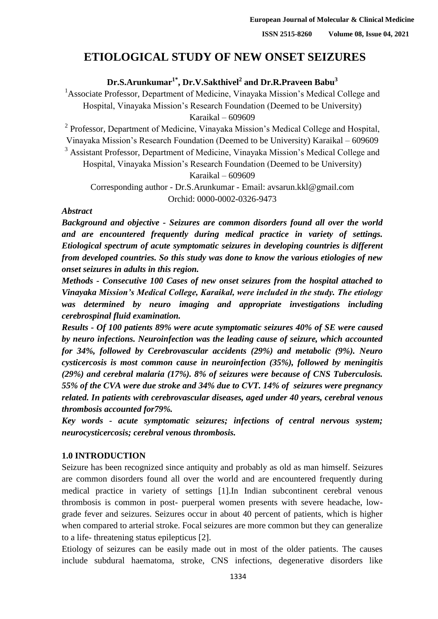# **ETIOLOGICAL STUDY OF NEW ONSET SEIZURES**

**Dr.S.Arunkumar1\* , Dr.V.Sakthivel<sup>2</sup> and Dr.R.Praveen Babu<sup>3</sup>**

<sup>1</sup> Associate Professor, Department of Medicine, Vinayaka Mission's Medical College and Hospital, Vinayaka Mission's Research Foundation (Deemed to be University) Karaikal – 609609

<sup>2</sup> Professor, Department of Medicine, Vinayaka Mission's Medical College and Hospital,

Vinayaka Mission's Research Foundation (Deemed to be University) Karaikal – 609609

<sup>3</sup> Assistant Professor, Department of Medicine, Vinayaka Mission's Medical College and Hospital, Vinayaka Mission's Research Foundation (Deemed to be University)

Karaikal – 609609

 Corresponding author - Dr.S.Arunkumar - Email: avsarun.kkl@gmail.com Orchid: 0000-0002-0326-9473

#### *Abstract*

 *Background and objective - Seizures are common disorders found all over the world*  and are encountered frequently during medical practice in variety of settings. *Etiological spectrum of acute symptomatic seizures in developing countries is different*  from developed countries. So this study was done to know the various etiologies of new *onset seizures in adults in this region.*

 *Methods - Consecutive 100 Cases of new onset seizures from the hospital attached to Vinayaka Mission's Medical College, Karaikal, were included in the study. The etiology was determined by neuro imaging and appropriate investigations including cerebrospinal fluid examination.*

 *Results - Of 100 patients 89% were acute symptomatic seizures 40% of SE were caused by neuro infections. Neuroinfection was the leading cause of seizure, which accounted for 34%, followed by Cerebrovascular accidents (29%) and metabolic (9%). Neuro cysticercosis is most common cause in neuroinfection (35%), followed by meningitis (29%) and cerebral malaria (17%). 8% of seizures were because of CNS Tuberculosis. 55% of the CVA were due stroke and 34% due to CVT. 14% of seizures were pregnancy related. In patients with cerebrovascular diseases, aged under 40 years, cerebral venous thrombosis accounted for79%.*

 *Key words - acute symptomatic seizures; infections of central nervous system; neurocysticercosis; cerebral venous thrombosis.*

## **1.0 INTRODUCTION**

Seizure has been recognized since antiquity and probably as old as man himself. Seizures are common disorders found all over the world and are encountered frequently during medical practice in variety of settings [1].In Indian subcontinent cerebral venous thrombosis is common in post- puerperal women presents with severe headache, low- grade fever and seizures. Seizures occur in about 40 percent of patients, which is higher when compared to arterial stroke. Focal seizures are more common but they can generalize to a life- threatening status epilepticus [2].

Etiology of seizures can be easily made out in most of the older patients. The causes include subdural haematoma, stroke, CNS infections, degenerative disorders like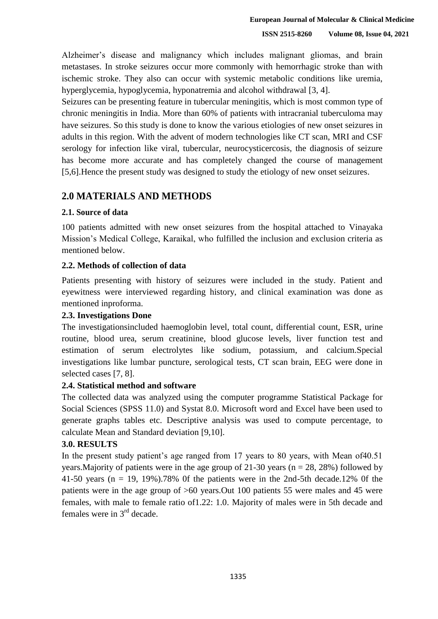45 Alzheimer's disease and malignancy which includes malignant gliomas, and brain 46 metastases. In stroke seizures occur more commonly with hemorrhagic stroke than with ischemic stroke. They also can occur with systemic metabolic conditions like uremia, hyperglycemia, hypoglycemia, hyponatremia and alcohol withdrawal [3, 4].

Seizures can be presenting feature in tubercular meningitis, which is most common type of 50 chronic meningitis in India. More than 60% of patients with intracranial tuberculoma may have seizures. So this study is done to know the various etiologies of new onset seizures in 52 adults in this region. With the advent of modern technologies like CT scan, MRI and CSF serology for infection like viral, tubercular, neurocysticercosis, the diagnosis of seizure has become more accurate and has completely changed the course of management 55 [5,6].Hence the present study was designed to study the etiology of new onset seizures.

## 57 **2.0 MATERIALS AND METHODS**

#### 58 **2.1. Source of data**

59 100 patients admitted with new onset seizures from the hospital attached to Vinayaka Mission's Medical College, Karaikal, who fulfilled the inclusion and exclusion criteria as mentioned below.

## 62 **2.2. Methods of collection of data**

Patients presenting with history of seizures were included in the study. Patient and eyewitness were interviewed regarding history, and clinical examination was done as mentioned inproforma.

## 66 **2.3. Investigations Done**

The investigationsincluded haemoglobin level, total count, differential count, ESR, urine routine, blood urea, serum creatinine, blood glucose levels, liver function test and 69 estimation of serum electrolytes like sodium, potassium, and calcium.Special investigations like lumbar puncture, serological tests, CT scan brain, EEG were done in selected cases [7, 8].

## 72 **2.4. Statistical method and software**

The collected data was analyzed using the computer programme Statistical Package for Social Sciences (SPSS 11.0) and Systat 8.0. Microsoft word and Excel have been used to 75 generate graphs tables etc. Descriptive analysis was used to compute percentage, to calculate Mean and Standard deviation [9,10].

## 77 **3.0. RESULTS**

In the present study patient's age ranged from 17 years to 80 years, with Mean of 40.51 years. Majority of patients were in the age group of 21-30 years ( $n = 28$ , 28%) followed by 41-50 years ( $n = 19$ , 19%).78% 0f the patients were in the 2nd-5th decade.12% 0f the patients were in the age group of  $>60$  years.Out 100 patients 55 were males and 45 were females, with male to female ratio of 1.22: 1.0. Majority of males were in 5th decade and females were in  $3<sup>rd</sup>$  decade.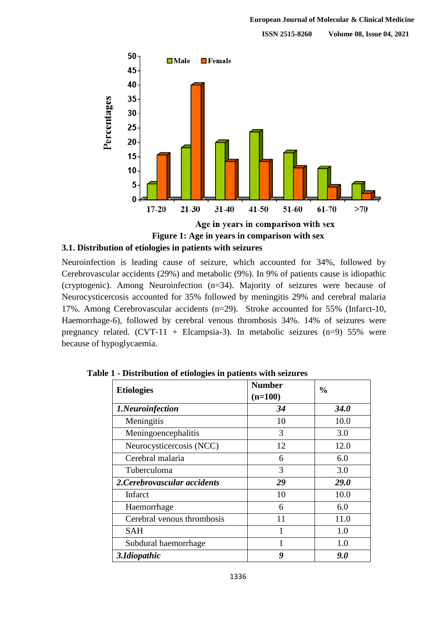

85 **Figure 1: Age in years in comparison with sex**

#### 86 **3.1. Distribution of etiologies in patients with seizures**

Neuroinfection is leading cause of seizure, which accounted for 34%, followed by 88 Cerebrovascular accidents (29%) and metabolic (9%). In 9% of patients cause is idiopathic (cryptogenic). Among Neuroinfection (n=34). Majority of seizures were because of Neurocysticercosis accounted for 35% followed by meningitis 29% and cerebral malaria 17%. Among Cerebrovascular accidents (n=29). Stroke accounted for 55% (Infarct-10, Haemorrhage-6), followed by cerebral venous thrombosis 34%. 14% of seizures were pregnancy related. (CVT-11 + Elcampsia-3). In metabolic seizures (n=9) 55% were because of hypoglycaemia.

| <b>Etiologies</b>            | <b>Number</b><br>$(n=100)$ | $\frac{0}{0}$ |
|------------------------------|----------------------------|---------------|
| 1.Neuroinfection             | 34                         | <b>34.0</b>   |
| Meningitis                   | 10                         | 10.0          |
| Meningoencephalitis          | 3                          | 3.0           |
| Neurocysticercosis (NCC)     | 12                         | 12.0          |
| Cerebral malaria             | 6                          | 6.0           |
| Tuberculoma                  | 3                          | 3.0           |
| 2. Cerebrovascular accidents | 29                         | <b>29.0</b>   |
| Infarct                      | 10                         | 10.0          |
| Haemorrhage                  | 6                          | 6.0           |
| Cerebral venous thrombosis   | 11                         | 11.0          |
| SAH                          |                            | 1.0           |
| Subdural haemorrhage         |                            | 1.0           |
| 3.Idiopathic                 | 9                          | 9.0           |

96 **Table 1 - Distribution of etiologies in patients with seizures**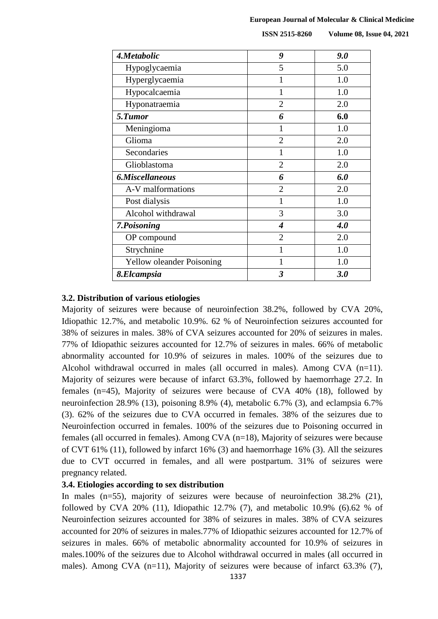| <b>ISSN 2515-8260</b> | <b>Volume 08, Issue 04, 2021</b> |
|-----------------------|----------------------------------|
|                       |                                  |

| 4.Metabolic                      | 9                           | 9.0 |  |  |
|----------------------------------|-----------------------------|-----|--|--|
| Hypoglycaemia                    | 5                           | 5.0 |  |  |
| Hyperglycaemia                   | 1                           | 1.0 |  |  |
| Hypocalcaemia                    | 1                           | 1.0 |  |  |
| Hyponatraemia                    | $\overline{2}$              | 2.0 |  |  |
| 5.Tumor                          | 6                           | 6.0 |  |  |
| Meningioma                       | 1                           | 1.0 |  |  |
| Glioma                           | $\overline{2}$              | 2.0 |  |  |
| Secondaries                      | 1                           | 1.0 |  |  |
| Glioblastoma                     | $\overline{2}$              | 2.0 |  |  |
| 6.Miscellaneous                  | 6                           | 6.0 |  |  |
| A-V malformations                | $\overline{2}$              | 2.0 |  |  |
| Post dialysis                    | 1                           | 1.0 |  |  |
| Alcohol withdrawal               | 3                           | 3.0 |  |  |
| 7.Poisoning                      | $\overline{\boldsymbol{4}}$ | 4.0 |  |  |
| OP compound                      | $\overline{2}$              | 2.0 |  |  |
| Strychnine                       | 1                           | 1.0 |  |  |
| <b>Yellow oleander Poisoning</b> | 1                           | 1.0 |  |  |
| 8.Elcampsia                      | 3                           | 3.0 |  |  |

#### 98 **3.2. Distribution of various etiologies**

Majority of seizures were because of neuroinfection 38.2%, followed by CVA 20%, 100 Idiopathic 12.7%, and metabolic 10.9%. 62 % of Neuroinfection seizures accounted for 101 38% of seizures in males. 38% of CVA seizures accounted for 20% of seizures in males. 102 77% of Idiopathic seizures accounted for 12.7% of seizures in males. 66% of metabolic 103 abnormality accounted for 10.9% of seizures in males. 100% of the seizures due to Alcohol withdrawal occurred in males (all occurred in males). Among CVA  $(n=11)$ . Majority of seizures were because of infarct 63.3%, followed by haemorrhage 27.2. In females (n=45), Majority of seizures were because of CVA 40% (18), followed by neuroinfection 28.9% (13), poisoning 8.9% (4), metabolic 6.7% (3), and eclampsia 6.7% 108 (3). 62% of the seizures due to CVA occurred in females. 38% of the seizures due to Neuroinfection occurred in females. 100% of the seizures due to Poisoning occurred in females (all occurred in females). Among CVA ( $n=18$ ), Majority of seizures were because of CVT 61% (11), followed by infarct 16% (3) and haemorrhage 16% (3). All the seizures due to CVT occurred in females, and all were postpartum. 31% of seizures were pregnancy related.

#### 114 **3.4. Etiologies according to sex distribution**

In males (n=55), majority of seizures were because of neuroinfection  $38.2\%$  (21), followed by CVA 20% (11), Idiopathic 12.7% (7), and metabolic 10.9% (6).62 % of Neuroinfection seizures accounted for 38% of seizures in males. 38% of CVA seizures accounted for 20% of seizures in males.77% of Idiopathic seizures accounted for 12.7% of seizures in males. 66% of metabolic abnormality accounted for 10.9% of seizures in 120 males.100% of the seizures due to Alcohol withdrawal occurred in males (all occurred in males). Among CVA (n=11), Majority of seizures were because of infarct 63.3% (7),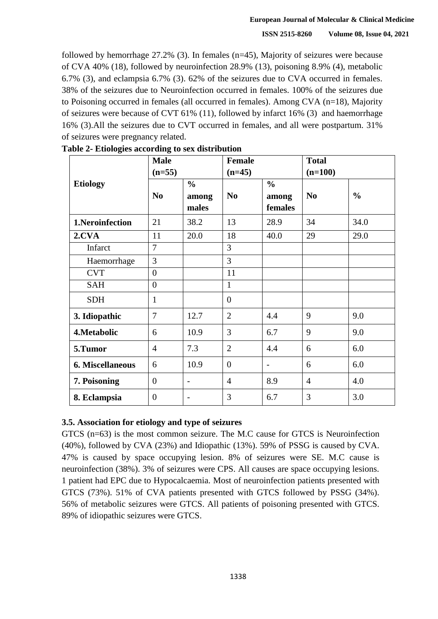followed by hemorrhage  $27.2\%$  (3). In females (n=45), Majority of seizures were because of CVA 40% (18), followed by neuroinfection 28.9% (13), poisoning 8.9% (4), metabolic 6.7% (3), and eclampsia 6.7% (3). 62% of the seizures due to CVA occurred in females. 125 38% of the seizures due to Neuroinfection occurred in females. 100% of the seizures due to Poisoning occurred in females (all occurred in females). Among CVA  $(n=18)$ , Majority of seizures were because of CVT 61% (11), followed by infarct 16% (3) and haemorrhage 16% (3).All the seizures due to CVT occurred in females, and all were postpartum. 31% of seizures were pregnancy related.

|                  | <b>Male</b><br>$(n=55)$ |                                 | <b>Female</b><br>$(n=45)$ |                                   | <b>Total</b><br>$(n=100)$ |               |  |
|------------------|-------------------------|---------------------------------|---------------------------|-----------------------------------|---------------------------|---------------|--|
| <b>Etiology</b>  | N <sub>0</sub>          | $\frac{0}{0}$<br>among<br>males | N <sub>0</sub>            | $\frac{0}{0}$<br>among<br>females | N <sub>0</sub>            | $\frac{0}{0}$ |  |
| 1.Neroinfection  | 21                      | 38.2                            | 13                        | 28.9                              | 34                        | 34.0          |  |
| 2.CVA            | 11                      | 20.0                            | 18                        | 40.0                              | 29                        | 29.0          |  |
| Infarct          | 7                       |                                 | 3                         |                                   |                           |               |  |
| Haemorrhage      | 3                       |                                 | $\overline{3}$            |                                   |                           |               |  |
| <b>CVT</b>       | $\overline{0}$          |                                 | 11                        |                                   |                           |               |  |
| <b>SAH</b>       | $\overline{0}$          |                                 | $\mathbf{1}$              |                                   |                           |               |  |
| <b>SDH</b>       | $\mathbf{1}$            |                                 | $\overline{0}$            |                                   |                           |               |  |
| 3. Idiopathic    | $\overline{7}$          | 12.7                            | $\overline{2}$            | 4.4                               | 9                         | 9.0           |  |
| 4. Metabolic     | 6                       | 10.9                            | 3                         | 6.7                               | 9                         | 9.0           |  |
| 5.Tumor          | $\overline{4}$          | 7.3                             | $\overline{2}$            | 4.4                               | 6                         | 6.0           |  |
| 6. Miscellaneous | 6                       | 10.9                            | $\overline{0}$            | $\overline{\phantom{0}}$          | 6                         | 6.0           |  |
| 7. Poisoning     | $\overline{0}$          | $\overline{\phantom{a}}$        | $\overline{4}$            | 8.9                               | 4                         | 4.0           |  |
| 8. Eclampsia     | $\overline{0}$          | $\overline{\phantom{0}}$        | 3                         | 6.7                               | 3                         | 3.0           |  |

130 **Table 2- Etiologies according to sex distribution**

## 132 **3.5. Association for etiology and type of seizures**

 $133$  GTCS (n=63) is the most common seizure. The M.C cause for GTCS is Neuroinfection  $(40\%)$ , followed by CVA  $(23\%)$  and Idiopathic  $(13\%)$ . 59% of PSSG is caused by CVA. 135 47% is caused by space occupying lesion. 8% of seizures were SE. M.C cause is neuroinfection (38%). 3% of seizures were CPS. All causes are space occupying lesions. 137 1 patient had EPC due to Hypocalcaemia. Most of neuroinfection patients presented with GTCS (73%). 51% of CVA patients presented with GTCS followed by PSSG (34%). 139 56% of metabolic seizures were GTCS. All patients of poisoning presented with GTCS. 89% of idiopathic seizures were GTCS.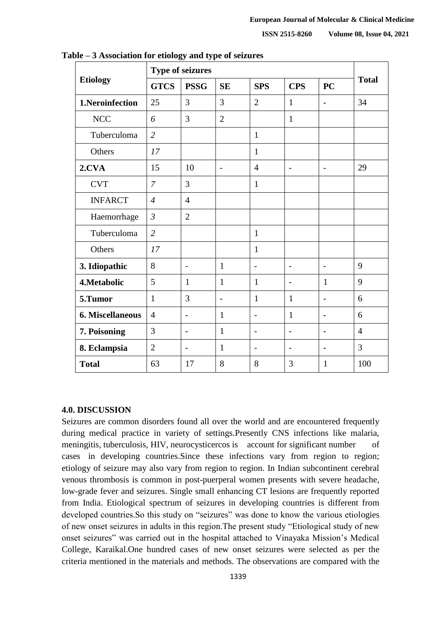|                  | <b>Type of seizures</b> |                          |                |                          |                          |                          |                |
|------------------|-------------------------|--------------------------|----------------|--------------------------|--------------------------|--------------------------|----------------|
| <b>Etiology</b>  | <b>GTCS</b>             | <b>PSSG</b>              | <b>SE</b>      | <b>SPS</b>               | <b>CPS</b>               | PC                       | <b>Total</b>   |
| 1.Neroinfection  | 25                      | 3                        | 3              | $\overline{2}$           | $\mathbf{1}$             | $\blacksquare$           | 34             |
| NCC              | 6                       | 3                        | $\overline{2}$ |                          | $\mathbf{1}$             |                          |                |
| Tuberculoma      | $\overline{2}$          |                          |                | $\mathbf{1}$             |                          |                          |                |
| Others           | 17                      |                          |                | $\mathbf{1}$             |                          |                          |                |
| 2.CVA            | 15                      | 10                       | $\overline{a}$ | $\overline{4}$           | $\overline{\phantom{a}}$ | $\overline{\phantom{a}}$ | 29             |
| <b>CVT</b>       | $\overline{7}$          | 3                        |                | $\mathbf{1}$             |                          |                          |                |
| <b>INFARCT</b>   | $\overline{4}$          | $\overline{4}$           |                |                          |                          |                          |                |
| Haemorrhage      | $\mathfrak{Z}$          | $\overline{2}$           |                |                          |                          |                          |                |
| Tuberculoma      | $\overline{2}$          |                          |                | $\mathbf{1}$             |                          |                          |                |
| Others           | 17                      |                          |                | $\mathbf{1}$             |                          |                          |                |
| 3. Idiopathic    | 8                       | $\overline{\phantom{a}}$ | $\mathbf{1}$   | $\overline{\phantom{a}}$ | $\blacksquare$           | $\overline{\phantom{m}}$ | 9              |
| 4. Metabolic     | 5                       | $\mathbf{1}$             | $\mathbf{1}$   | $\mathbf{1}$             | $\blacksquare$           | $\mathbf{1}$             | 9              |
| 5.Tumor          | $\mathbf{1}$            | 3                        | $\overline{a}$ | 1                        | $\mathbf{1}$             | $\overline{\phantom{m}}$ | 6              |
| 6. Miscellaneous | $\overline{4}$          | $\overline{\phantom{0}}$ | 1              | $\overline{\phantom{0}}$ | $\mathbf{1}$             | $\overline{a}$           | 6              |
| 7. Poisoning     | 3                       | $\overline{\phantom{0}}$ | $\mathbf{1}$   | $\overline{\phantom{0}}$ | $\overline{\phantom{a}}$ |                          | $\overline{4}$ |
| 8. Eclampsia     | $\overline{2}$          | $\overline{a}$           | 1              | $\overline{\phantom{0}}$ | $\overline{\phantom{0}}$ | $\overline{a}$           | 3              |
| <b>Total</b>     | 63                      | 17                       | 8              | 8                        | 3                        | $\mathbf{1}$             | 100            |

145 **Table – 3 Association for etiology and type of seizures**

#### 148 **4.0. DISCUSSION**

Seizures are common disorders found all over the world and are encountered frequently during medical practice in variety of settings.Presently CNS infections like malaria, meningitis, tuberculosis, HIV, neurocysticercos is account for significant number of cases in developing countries. Since these infections vary from region to region; 153 etiology of seizure may also vary from region to region. In Indian subcontinent cerebral venous thrombosis is common in post-puerperal women presents with severe headache, low-grade fever and seizures. Single small enhancing CT lesions are frequently reported from India. Etiological spectrum of seizures in developing countries is different from developed countries. So this study on "seizures" was done to know the various etiologies of new onset seizures in adults in this region. The present study "Etiological study of new onset seizures" was carried out in the hospital attached to Vinayaka Mission's Medical 160 College, Karaikal.One hundred cases of new onset seizures were selected as per the criteria mentioned in the materials and methods. The observations are compared with the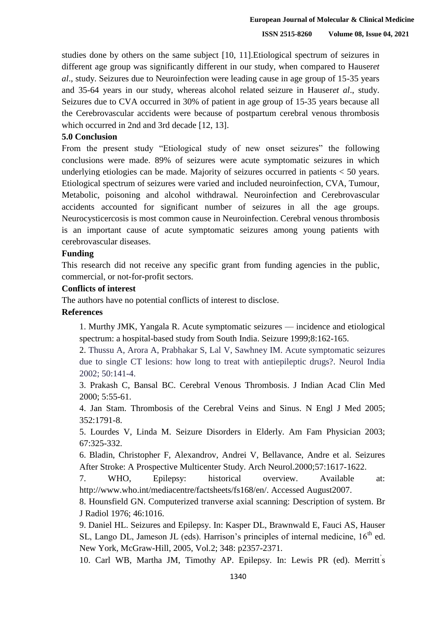162 studies done by others on the same subject [10, 11].Etiological spectrum of seizures in different age group was significantly different in our study, when compared to Hauseret *al.*, study. Seizures due to Neuroinfection were leading cause in age group of 15-35 years 165 and 35-64 years in our study, whereas alcohol related seizure in Hauser*et al*., study. Seizures due to CVA occurred in 30% of patient in age group of 15-35 years because all the Cerebrovascular accidents were because of postpartum cerebral venous thrombosis which occurred in 2nd and 3rd decade [12, 13].

#### 169 **5.0 Conclusion**

From the present study "Etiological study of new onset seizures" the following conclusions were made. 89% of seizures were acute symptomatic seizures in which underlying etiologies can be made. Majority of seizures occurred in patients  $<$  50 years. 173 Etiological spectrum of seizures were varied and included neuroinfection, CVA, Tumour, Metabolic, poisoning and alcohol withdrawal. Neuroinfection and Cerebrovascular accidents accounted for significant number of seizures in all the age groups. 176 Neurocysticercosis is most common cause in Neuroinfection. Cerebral venous thrombosis is an important cause of acute symptomatic seizures among young patients with cerebrovascular diseases.

#### **Funding**

This research did not receive any specific grant from funding agencies in the public, commercial, or not-for-profit sectors.

## 182 **Conflicts of interest**

The authors have no potential conflicts of interest to disclose.

### 184 **References**

1. Murthy JMK, Yangala R. Acute symptomatic seizures — incidence and etiological spectrum: a hospital-based study from South India. Seizure 1999;8:162-165.

2. Thussu A, Arora A, Prabhakar S, Lal V, Sawhney IM. Acute symptomatic seizures due to single CT lesions: how long to treat with antiepileptic drugs?. Neurol India 2002; 50:141-4.

3. Prakash C, Bansal BC. Cerebral Venous Thrombosis. J Indian Acad Clin Med 2000; 5:55-61.

4. Jan Stam. Thrombosis of the Cerebral Veins and Sinus. N Engl J Med 2005; 193 352:1791-8.

5. Lourdes V, Linda M. Seizure Disorders in Elderly. Am Fam Physician 2003; 67:325-332.

196 6. Bladin, Christopher F, Alexandrov, Andrei V, Bellavance, Andre et al. Seizures After Stroke: A Prospective Multicenter Study. Arch Neurol.2000;57:1617-1622.

7. WHO, Epilepsy: historical overview. Available at: [http://www.who.int/mediacentre/factsheets/fs168/en/. A](http://www.who.int/mediacentre/factsheets/fs168/en/)ccessed August2007.

> 8. Hounsfield GN. Computerized tranverse axial scanning: Description of system. Br J Radiol 1976; 46:1016.

> 9. Daniel HL. Seizures and Epilepsy. In: Kasper DL, Brawnwald E, Fauci AS, Hauser SL, Lango DL, Jameson JL (eds). Harrison's principles of internal medicine,  $16<sup>th</sup>$  ed. 204 New York, McGraw-Hill, 2005, Vol.2; 348: p2357-2371.

10. Carl WB, Martha JM, Timothy AP. Epilepsy. In: Lewis PR (ed). Merritt s